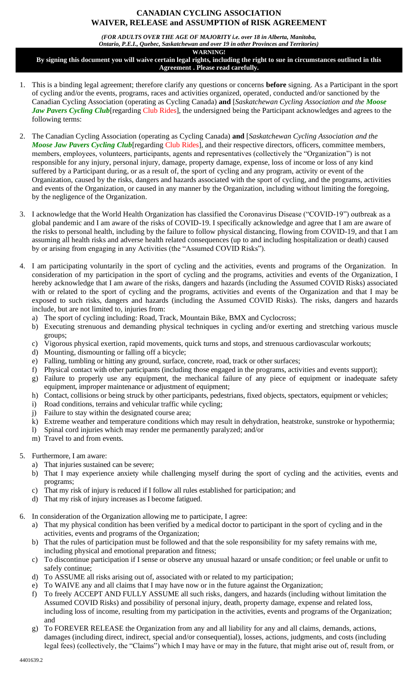## **CANADIAN CYCLING ASSOCIATION WAIVER, RELEASE and ASSUMPTION of RISK AGREEMENT**

*(FOR ADULTS OVER THE AGE OF MAJORITY i.e. over 18 in Alberta, Manitoba, Ontario, P.E.I., Quebec, Saskatchewan and over 19 in other Provinces and Territories)*

**WARNING!**

**By signing this document you will waive certain legal rights, including the right to sue in circumstances outlined in this Agreement . Please read carefully.**

- 1. This is a binding legal agreement; therefore clarify any questions or concerns **before** signing. As a Participant in the sport of cycling and/or the events, programs, races and activities organized, operated, conducted and/or sanctioned by the Canadian Cycling Association (operating as Cycling Canada) **and** [*Saskatchewan Cycling Association and the Moose Jaw Pavers Cycling Club* [regarding Club Rides], the undersigned being the Participant acknowledges and agrees to the following terms:
- 2. The Canadian Cycling Association (operating as Cycling Canada) **and** [*Saskatchewan Cycling Association and the Moose Jaw Pavers Cycling Club* [regarding Club Rides], and their respective directors, officers, committee members, members, employees, volunteers, participants, agents and representatives (collectively the "Organization") is not responsible for any injury, personal injury, damage, property damage, expense, loss of income or loss of any kind suffered by a Participant during, or as a result of, the sport of cycling and any program, activity or event of the Organization, caused by the risks, dangers and hazards associated with the sport of cycling, and the programs, activities and events of the Organization, or caused in any manner by the Organization, including without limiting the foregoing, by the negligence of the Organization.
- 3. I acknowledge that the World Health Organization has classified the Coronavirus Disease ("COVID-19") outbreak as a global pandemic and I am aware of the risks of COVID-19. I specifically acknowledge and agree that I am are aware of the risks to personal health, including by the failure to follow physical distancing, flowing from COVID-19, and that I am assuming all health risks and adverse health related consequences (up to and including hospitalization or death) caused by or arising from engaging in any Activities (the "Assumed COVID Risks").
- 4. I am participating voluntarily in the sport of cycling and the activities, events and programs of the Organization. In consideration of my participation in the sport of cycling and the programs, activities and events of the Organization, I hereby acknowledge that I am aware of the risks, dangers and hazards (including the Assumed COVID Risks) associated with or related to the sport of cycling and the programs, activities and events of the Organization and that I may be exposed to such risks, dangers and hazards (including the Assumed COVID Risks). The risks, dangers and hazards include, but are not limited to, injuries from:
	- a) The sport of cycling including: Road, Track, Mountain Bike, BMX and Cyclocross;
	- b) Executing strenuous and demanding physical techniques in cycling and/or exerting and stretching various muscle groups;
	- c) Vigorous physical exertion, rapid movements, quick turns and stops, and strenuous cardiovascular workouts;
	- d) Mounting, dismounting or falling off a bicycle;
	- e) Falling, tumbling or hitting any ground, surface, concrete, road, track or other surfaces;
	- f) Physical contact with other participants (including those engaged in the programs, activities and events support);
	- g) Failure to properly use any equipment, the mechanical failure of any piece of equipment or inadequate safety equipment, improper maintenance or adjustment of equipment;
	- h) Contact, collisions or being struck by other participants, pedestrians, fixed objects, spectators, equipment or vehicles;
	- i) Road conditions, terrains and vehicular traffic while cycling;
	- j) Failure to stay within the designated course area;
	- k) Extreme weather and temperature conditions which may result in dehydration, heatstroke, sunstroke or hypothermia;
	- l) Spinal cord injuries which may render me permanently paralyzed; and/or
	- m) Travel to and from events.
- 5. Furthermore, I am aware:
	- a) That injuries sustained can be severe;
	- b) That I may experience anxiety while challenging myself during the sport of cycling and the activities, events and programs;
	- c) That my risk of injury is reduced if I follow all rules established for participation; and
	- d) That my risk of injury increases as I become fatigued.
- 6. In consideration of the Organization allowing me to participate, I agree:
	- a) That my physical condition has been verified by a medical doctor to participant in the sport of cycling and in the activities, events and programs of the Organization;
	- b) That the rules of participation must be followed and that the sole responsibility for my safety remains with me, including physical and emotional preparation and fitness;
	- c) To discontinue participation if I sense or observe any unusual hazard or unsafe condition; or feel unable or unfit to safely continue;
	- d) To ASSUME all risks arising out of, associated with or related to my participation;
	- e) To WAIVE any and all claims that I may have now or in the future against the Organization;
	- f) To freely ACCEPT AND FULLY ASSUME all such risks, dangers, and hazards (including without limitation the Assumed COVID Risks) and possibility of personal injury, death, property damage, expense and related loss, including loss of income, resulting from my participation in the activities, events and programs of the Organization; and
	- g) To FOREVER RELEASE the Organization from any and all liability for any and all claims, demands, actions, damages (including direct, indirect, special and/or consequential), losses, actions, judgments, and costs (including legal fees) (collectively, the "Claims") which I may have or may in the future, that might arise out of, result from, or